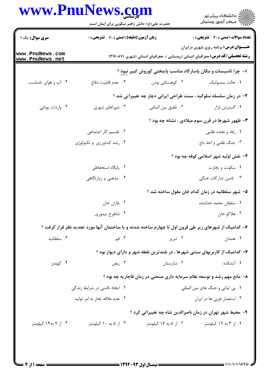## www.PnuNews.com

|                                    | www.PnuNews.com<br>حضرت علی(ع): دانش راهبر نیکویی برای ایمان است                                     |                       | ڪ دانشڪاه پيام نور<br>۾ سرڪز آزمون وسنڊش                                                                                               |
|------------------------------------|------------------------------------------------------------------------------------------------------|-----------------------|----------------------------------------------------------------------------------------------------------------------------------------|
| <b>سری سوال :</b> یک ۱             | <b>زمان آزمون (دقیقه) : تستی : 60 ٪ تشریحی : 0</b>                                                   |                       | <b>تعداد سوالات : تستی : 30 ٪ تشریحی : 0</b>                                                                                           |
| www.PnuNews.com<br>www.PnuNews.net |                                                                                                      |                       | <b>عنـــوان درس:</b> برنامه ریزی شهری درایران<br><b>رشته تحصیلی/کد درس:</b> جغرافیای انسانی (روستایی )، جغرافیای انسانی (شهری )۱۲۱۶۰۸۷ |
|                                    |                                                                                                      |                       | ۱– چرا تاسیسات و مکان پاسارگاد مناسب پایتختی کوروش کبیر نبود ؟                                                                         |
| ۰۴ آب و هوای نامناسب               | ۰۳ عدم قابلیت دفاع                                                                                   | ۰۲ کوهستانی بودن      | ٠١. حالت سمبوليک                                                                                                                       |
|                                    |                                                                                                      |                       | ۲- در زمان سلسله سلوکیه ، سنت طراحی ایرانی دچار چه تغییراتی شد ؟                                                                       |
| ۰۴ واردات یونانی                   | ۰۳ شوراهای شهری                                                                                      | ٠٢ تلفيق بين المللي   | ٠١ گسترش بازار                                                                                                                         |
|                                    |                                                                                                      |                       | <b>۳</b> - ظهور شهرها در قرن سوم میلادی ، نشانه چه بود ؟                                                                               |
|                                    | ۰۲ تقسیم کار اجتماعی                                                                                 |                       | ۰۱ رفاه و تجدد طلبی                                                                                                                    |
|                                    | ۰۴ رشد کشاورزی و تکنولوژی                                                                            |                       | ۰۳ جنگ طلبی و اخذ باج                                                                                                                  |
|                                    |                                                                                                      |                       | ۴- نقش اولیه شهر اسلامی کوفه چه بود ؟                                                                                                  |
|                                    | ۰۲ پایگاه استحفاظی                                                                                   |                       | ٠١ سكونت و تجارت                                                                                                                       |
|                                    | ۰۴ مذهبی و زیارتگاهی                                                                                 |                       | ۰۳ تامین تدارکات جنگی                                                                                                                  |
|                                    |                                                                                                      |                       | ۵– شهر سلطانیه در زمان کدام خان مغول ساخته شد ؟                                                                                        |
|                                    | ۰۲ غازان خان                                                                                         |                       | ۰۱ سلطان محمد خدابنده                                                                                                                  |
|                                    | ۰۴ شاهرخ تيموري                                                                                      |                       | ۰۳ هلاکو خان                                                                                                                           |
|                                    | ۶– کدامیک از شهرهای زیر طی قرون اول تا چهارم ساخته شدند و یا ساختمان آنها مورد تجدید نظر قرار گرفت ؟ |                       |                                                                                                                                        |
| ۰۴ سلطانيه                         | ۰۳ قم                                                                                                | ۰۲ تبریز              | ۰۱ همدان                                                                                                                               |
|                                    |                                                                                                      |                       | ۷– کدامیک از کاربریهای سنتی شهرها ، در بلندترین نقطه شهر و دارای دیوار بود ؟                                                           |
| ۰۴ كهندژ                           | بض $\cdot^{\mathsf{v}}$                                                                              | ۰۲ شارستان            | ۰۱ آتشکده                                                                                                                              |
|                                    |                                                                                                      |                       | ۸– مانع مهم رشد و توسعه نظام سرمایه داری صنعتی در زمان قاجاریه چه بود ؟                                                                |
| ۰۲ ایجاد ناامنی در شرایط زندگی     |                                                                                                      |                       | ۰۱ بي ثباتي و جنگ هاي بين المللي                                                                                                       |
| ۰۴ عدم علاقه تجار به امر توليد     |                                                                                                      |                       | ۰۳ استعمار غربي ها در ايران                                                                                                            |
|                                    |                                                                                                      |                       | ۹- محیط شهر تهران در زمان ناصرالدین شاه چه تغییراتی کرد ؟                                                                              |
| ۰۴ از ۷ به۱۴ کیلومتر               | ۰۳ از ۵ به ۱۰ کیلومتر                                                                                | ۰۲ از ۸ به ۱۶ کیلومتر | ۰۱ از ۳ به ۱۹ کیلومتر                                                                                                                  |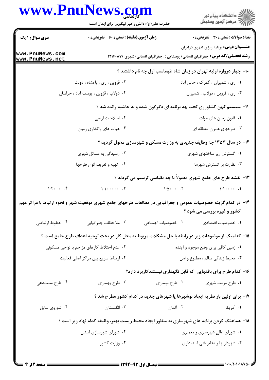## **WWW PnuNews com**

|                                                                         | www.PnuNews.com<br>حضرت علی(ع): دانش راهبر نیکویی برای ایمان است                                              |                                   | ر<br>دانشڪاه پيام نور)<br>ا∛ مرڪز آزمون وسنڊش                                                                                          |  |
|-------------------------------------------------------------------------|---------------------------------------------------------------------------------------------------------------|-----------------------------------|----------------------------------------------------------------------------------------------------------------------------------------|--|
| <b>سری سوال : ۱ یک</b>                                                  | <b>زمان آزمون (دقیقه) : تستی : 60 ٪ تشریحی : 0</b>                                                            |                                   | <b>تعداد سوالات : تستي : 30 - تشريحي : 0</b>                                                                                           |  |
| www.PnuNews.com<br>www.PnuNews.net                                      |                                                                                                               |                                   | <b>عنـــوان درس:</b> برنامه ریزی شهری درایران<br><b>رشته تحصیلی/کد درس:</b> جغرافیای انسانی (روستایی )، جغرافیای انسانی (شهری )۱۲۱۶۰۸۷ |  |
|                                                                         |                                                                                                               |                                   | ۱۰– چهار دروازه اولیه تهران در زمان شاه طهماسب اول چه نام داشتند ؟                                                                     |  |
|                                                                         | ۰۲ قزوین ، ری ، باغشاه ، دولت                                                                                 |                                   | ۰۱ ری ، شمیران ، گمرک ، خانی آباد                                                                                                      |  |
|                                                                         | ۰۴ دولاب ، قزوین ، یوسف آباد ، خراسان                                                                         |                                   | ۰۳ ري ، قزوين ، دولاب ، شميران                                                                                                         |  |
| 11- سیستم کهن کشاورزی تحت چه برنامه ای دگرگون شده و به حاشیه رانده شد ؟ |                                                                                                               |                                   |                                                                                                                                        |  |
|                                                                         | ۰۲ اصلاحات ارضی                                                                                               |                                   | ۰۱ قانون زمین های موات                                                                                                                 |  |
|                                                                         | ۰۴ هیات های واگذاری زمین                                                                                      |                                   | ۰۳ طرحهای عمران منطقه ای                                                                                                               |  |
|                                                                         |                                                                                                               |                                   | ۱۲- در سال ۱۳۵۳ چه وظایف جدیدی به وزارت مسکن و شهرسازی محول گردید ؟                                                                    |  |
|                                                                         | ۰۲ رسیدگی به مسائل شهری                                                                                       |                                   | ۰۱ گسترش زیر ساختهای شهری                                                                                                              |  |
|                                                                         | ۰۴ تهيه و تعريف انواع طرحها                                                                                   |                                   | ۰۳ نظارت بر گسترش شهرها                                                                                                                |  |
|                                                                         |                                                                                                               |                                   | ۱۳- نقشه طرح های جامع شهری معمولاً با چه مقیاسی ترسیم می گردند ؟                                                                       |  |
| $1:Y \cdot \cdot \cdot$ . $Y$                                           |                                                                                                               | $1: \Delta \cdot \cdot \cdot$ . Y | $1:1 \cdot \cdot \cdot \cdot$ .1                                                                                                       |  |
|                                                                         | ۱۴– در کدام گزینه خصوصیات عمومی و جغرافیایی در مطالعات طرحهای جامع شهری موقعیت شهر و نحوه ارتباط با مراکز مهم |                                   |                                                                                                                                        |  |
|                                                                         |                                                                                                               |                                   | کشور و غیره بررسی می شود ؟                                                                                                             |  |
| ۰۴ خطوط ارتباطي                                                         | ۰۳ ملاحظات جغرافيايي                                                                                          | ۰۲ خصوصیات اجتماعی                | ٠١ خصوصيات اقتصادي                                                                                                                     |  |
|                                                                         | ۱۵– کدامیک از موضوعات زیر در رابطه با حل مشکلات مربوط به محل کار در بحث توجیه اهداف طرح جامع است ؟            |                                   |                                                                                                                                        |  |
|                                                                         | ۲. عدم اختلاط کارهای مزاحم با نواحی مسکونی                                                                    |                                   | ۰۱ زمین کافی برای وضع موجود و آینده                                                                                                    |  |
|                                                                         | ۰۴ ارتباط سريع بين مراكز اصلي فعاليت                                                                          |                                   | ۰۳ محیط زندگی سالم ، مطبوع و امن                                                                                                       |  |
|                                                                         |                                                                                                               |                                   | ۱۶– کدام طرح برای بافتهایی که قابل نگهداری نیستندکاربرد دارد؟                                                                          |  |
| ۰۴ طرح ساماندهی                                                         | ۰۳ طرح بهسازي                                                                                                 | ۰۲ طرح نوسازی                     | ۰۱ طرح مرمت شهري                                                                                                                       |  |
|                                                                         |                                                                                                               |                                   | ۱۷- برای اولین بار نظریه ایجاد نوشهرها یا شهرهای جدید در کدام کشور مطرح شد ؟                                                           |  |
| ۰۴ شوروی سابق                                                           | ۰۳ انگلستان                                                                                                   | ۰۲ آلمان                          | ۰۱ آمریکا                                                                                                                              |  |
|                                                                         | ۱۸– هماهنگ کردن برنامه های شهرسازی به منظور ایجاد محیط زیست بهتر، وظیفه کدام نهاد زیر است ؟                   |                                   |                                                                                                                                        |  |
|                                                                         | ۰۲ شورای شهرسازی استان                                                                                        |                                   | ۰۱ شورای عالی شهرسازی و معماری                                                                                                         |  |
|                                                                         | ۰۴ وزارت کشور                                                                                                 |                                   | ۰۳ شهرداریها و دفاتر فنی استانداری                                                                                                     |  |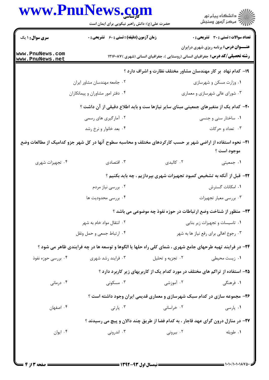## www.PnuNews.com

|                                                        | www.PnuNews.com<br>حضرت علی(ع): دانش راهبر نیکویی برای ایمان است                                            |                                       | ڪ دانشڪاه پيا <sub>م</sub> نور<br>۾ سرڪز آزمون وسنجش                                                                                    |  |
|--------------------------------------------------------|-------------------------------------------------------------------------------------------------------------|---------------------------------------|-----------------------------------------------------------------------------------------------------------------------------------------|--|
| <b>سری سوال : ۱ یک</b>                                 | زمان آزمون (دقیقه) : تستی : 60 ٪ تشریحی : 0                                                                 |                                       | <b>تعداد سوالات : تستي : 30 ٪ تشريحي : 0</b>                                                                                            |  |
| www.PnuNews.com<br>www.PnuNews.net                     |                                                                                                             |                                       | <b>عنــــوان درس:</b> برنامه ریزی شهری درایران<br><b>رشته تحصیلی/کد درس:</b> جغرافیای انسانی (روستایی )، جغرافیای انسانی (شهری )۱۲۱۶۰۸۷ |  |
|                                                        |                                                                                                             |                                       | ۱۹- کدام نهاد ًبر کار مهندسان مشاور مختلف نظارت و اشراف دارد ؟                                                                          |  |
|                                                        | ۰۲ جامعه مهندسان مشاور ايران                                                                                |                                       | ۰۱ وزارت مسکن و شهرسازی                                                                                                                 |  |
|                                                        | ۰۴ دفتر امور مشاوران و پیمانکاران                                                                           |                                       | ۰۳ شورای عالی شهرسازی و معماری                                                                                                          |  |
|                                                        | +۲- کدام یک از متغیرهای جمعیتی مبنای سایر نیازها ست و باید اطلاع دقیقی از آن داشت ؟                         |                                       |                                                                                                                                         |  |
|                                                        | ۰۲ آمارگیری های رسمی                                                                                        |                                       | ۰۱ ساختار سنی و جنسی                                                                                                                    |  |
|                                                        | ۰۴ بعد خانوار و نرخ رشد                                                                                     |                                       | ۰۳ تعداد و حرکات                                                                                                                        |  |
|                                                        | ۲۱– نحوه استفاده از اراضی شهر بر حسب کارکردهای مختلف و محاسبه سطوح آنها در کل شهر جزو کدامیک از مطالعات وضع |                                       |                                                                                                                                         |  |
|                                                        |                                                                                                             |                                       | موجود است ؟                                                                                                                             |  |
| ۰۴ تجهیزات شهری                                        | ۰۳ اقتصادی                                                                                                  | ۰۲ کالبدی                             | ۰۱ جمعیتی                                                                                                                               |  |
|                                                        |                                                                                                             |                                       | ۲۲- قبل از آنکه به تشخیص کمبود تجهیزات شهری بپردازیم ، چه باید بکنیم ؟                                                                  |  |
|                                                        | ۰۲ بررسی نیاز مردم                                                                                          |                                       | ۰۱ امکانات گسترش                                                                                                                        |  |
|                                                        | ۰۴ بررسی محدودیت ها                                                                                         |                                       | ۰۳ بررسی معیار تجهیزات                                                                                                                  |  |
|                                                        |                                                                                                             |                                       | ۲۳- منظور از شناخت وضع ارتباطات در حوزه نفوذ چه موضوعی می باشد ؟                                                                        |  |
| ۰۲ انتقال مواد خام به شهر<br>۰۴ ارتباط جمعی و حمل ونقل |                                                                                                             | ٠١ تاسيسات و تجهيزات زير بنايي        |                                                                                                                                         |  |
|                                                        |                                                                                                             | ۰۳ رجوع اهالی برای رفع نیاز ها به شهر |                                                                                                                                         |  |
|                                                        | ۲۴- در فرایند تهیه طرحهای جامع شهری ، شمای کلی راه حلها یا الگوها و توسعه ها در چه فرایندی ظاهر می شود ؟    |                                       |                                                                                                                                         |  |
| ۰۴ بررسی حوزه نفوذ                                     | ۰۳ فرایند رشد شهری                                                                                          | ۰۲ تجزیه و تحلیل                      | ۰۱ زیست محیطی                                                                                                                           |  |
|                                                        | ۲۵- استفاده از تراکم های مختلف در مورد کدام یک از کاربریهای زیر کاربرد دارد ؟                               |                                       |                                                                                                                                         |  |
| ۰۴ درمانی                                              | ۰۳ مسکونی                                                                                                   | ۰۲ آموزشی                             | ۱. فرهنگی                                                                                                                               |  |
|                                                        | ۲۶- مجموعه سازی در کدام سبک شهرسازی و معماری قدیمی ایران وجود داشته است ؟                                   |                                       |                                                                                                                                         |  |
| ۰۴ اصفهان                                              | ۰۳ پارتی                                                                                                    | ۰۲ خراسانی                            | ۰۱ پارسی                                                                                                                                |  |
|                                                        | ۲۷- در منازل درون گرای عهد قاجار ، به کدام فضا از طریق چند دالان و پیچ می رسیدند ؟                          |                                       |                                                                                                                                         |  |
| ۰۴ ایوان                                               | ۰۳ اندرونی                                                                                                  | ۰۲ بیرونی                             | ۰۱ طويله                                                                                                                                |  |